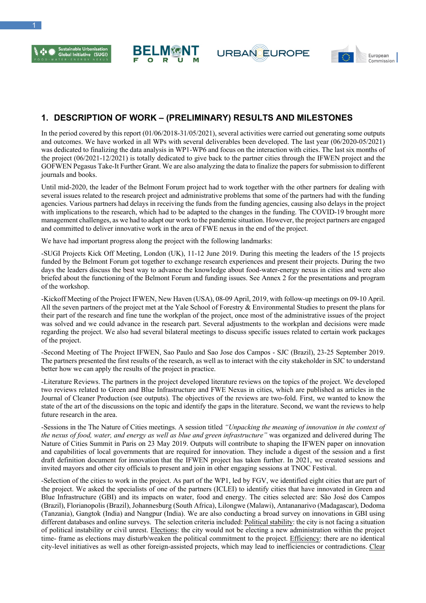







## **1. DESCRIPTION OF WORK – (PRELIMINARY) RESULTS AND MILESTONES**

In the period covered by this report (01/06/2018-31/05/2021), several activities were carried out generating some outputs and outcomes. We have worked in all WPs with several deliverables been developed. The last year (06/2020-05/2021) was dedicated to finalizing the data analysis in WP1-WP6 and focus on the interaction with cities. The last six months of the project (06/2021-12/2021) is totally dedicated to give back to the partner cities through the IFWEN project and the GOFWEN Pegasus Take-It Further Grant. We are also analyzing the data to finalize the papers for submission to different journals and books.

Until mid-2020, the leader of the Belmont Forum project had to work together with the other partners for dealing with several issues related to the research project and administrative problems that some of the partners had with the funding agencies. Various partners had delays in receiving the funds from the funding agencies, causing also delays in the project with implications to the research, which had to be adapted to the changes in the funding. The COVID-19 brought more management challenges, as we had to adapt our work to the pandemic situation. However, the project partners are engaged and committed to deliver innovative work in the area of FWE nexus in the end of the project.

We have had important progress along the project with the following landmarks:

-SUGI Projects Kick Off Meeting, London (UK), 11-12 June 2019. During this meeting the leaders of the 15 projects funded by the Belmont Forum got together to exchange research experiences and present their projects. During the two days the leaders discuss the best way to advance the knowledge about food-water-energy nexus in cities and were also briefed about the functioning of the Belmont Forum and funding issues. See Annex 2 for the presentations and program of the workshop.

-Kickoff Meeting of the Project IFWEN, New Haven (USA), 08-09 April, 2019, with follow-up meetings on 09-10 April. All the seven partners of the project met at the Yale School of Forestry & Environmental Studies to present the plans for their part of the research and fine tune the workplan of the project, once most of the administrative issues of the project was solved and we could advance in the research part. Several adjustments to the workplan and decisions were made regarding the project. We also had several bilateral meetings to discuss specific issues related to certain work packages of the project.

-Second Meeting of The Project IFWEN, Sao Paulo and Sao Jose dos Campos - SJC (Brazil), 23-25 September 2019. The partners presented the first results of the research, as well as to interact with the city stakeholder in SJC to understand better how we can apply the results of the project in practice.

-Literature Reviews. The partners in the project developed literature reviews on the topics of the project. We developed two reviews related to Green and Blue Infrastructure and FWE Nexus in cities, which are published as articles in the Journal of Cleaner Production (see outputs). The objectives of the reviews are two-fold. First, we wanted to know the state of the art of the discussions on the topic and identify the gaps in the literature. Second, we want the reviews to help future research in the area.

-Sessions in the The Nature of Cities meetings. A session titled *"Unpacking the meaning of innovation in the context of the nexus of food, water, and energy as well as blue and green infrastructure"* was organized and delivered during The Nature of Cities Summit in Paris on 23 May 2019. Outputs will contribute to shaping the IFWEN paper on innovation and capabilities of local governments that are required for innovation. They include a digest of the session and a first draft definition document for innovation that the IFWEN project has taken further. In 2021, we created sessions and invited mayors and other city officials to present and join in other engaging sessions at TNOC Festival.

-Selection of the cities to work in the project. As part of the WP1, led by FGV, we identified eight cities that are part of the project. We asked the specialists of one of the partners (ICLEI) to identify cities that have innovated in Green and Blue Infrastructure (GBI) and its impacts on water, food and energy. The cities selected are: São José dos Campos (Brazil), Florianopolis (Brazil), Johannesburg (South Africa), Lilongwe (Malawi), Antananarivo (Madagascar), Dodoma (Tanzania), Gangtok (India) and Nangpur (India). We are also conducting a broad survey on innovations in GBI using different databases and online surveys. The selection criteria included: Political stability: the city is not facing a situation of political instability or civil unrest. Elections: the city would not be electing a new administration within the project time- frame as elections may disturb/weaken the political commitment to the project. Efficiency: there are no identical city-level initiatives as well as other foreign-assisted projects, which may lead to inefficiencies or contradictions. Clear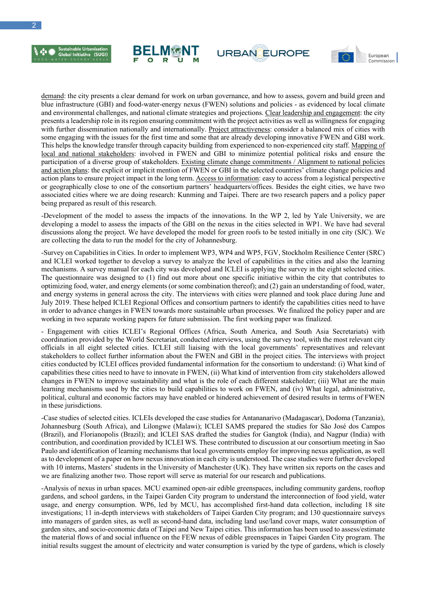









demand: the city presents a clear demand for work on urban governance, and how to assess, govern and build green and blue infrastructure (GBI) and food-water-energy nexus (FWEN) solutions and policies - as evidenced by local climate and environmental challenges, and national climate strategies and projections. Clear leadership and engagement: the city presents a leadership role in its region ensuring commitment with the project activities as well as willingness for engaging with further dissemination nationally and internationally. Project attractiveness: consider a balanced mix of cities with some engaging with the issues for the first time and some that are already developing innovative FWEN and GBI work. This helps the knowledge transfer through capacity building from experienced to non-experienced city staff. Mapping of local and national stakeholders: involved in FWEN and GBI to minimize potential political risks and ensure the participation of a diverse group of stakeholders. Existing climate change commitments / Alignment to national policies and action plans: the explicit or implicit mention of FWEN or GBI in the selected countries' climate change policies and action plans to ensure project impact in the long term. Access to information: easy to access from a logistical perspective or geographically close to one of the consortium partners' headquarters/offices. Besides the eight cities, we have two associated cities where we are doing research: Kunming and Taipei. There are two research papers and a policy paper being prepared as result of this research.

-Development of the model to assess the impacts of the innovations. In the WP 2, led by Yale University, we are developing a model to assess the impacts of the GBI on the nexus in the cities selected in WP1. We have had several discussions along the project. We have developed the model for green roofs to be tested initially in one city (SJC). We are collecting the data to run the model for the city of Johannesburg.

-Survey on Capabilities in Cities. In order to implement WP3, WP4 and WP5, FGV, Stockholm Resilience Center (SRC) and ICLEI worked together to develop a survey to analyze the level of capabilities in the cities and also the learning mechanisms. A survey manual for each city was developed and ICLEI is applying the survey in the eight selected cities. The questionnaire was designed to (1) find out more about one specific initiative within the city that contributes to optimizing food, water, and energy elements (or some combination thereof); and (2) gain an understanding of food, water, and energy systems in general across the city. The interviews with cities were planned and took place during June and July 2019. These helped ICLEI Regional Offices and consortium partners to identify the capabilities cities need to have in order to advance changes in FWEN towards more sustainable urban processes. We finalized the policy paper and are working in two separate working papers for future submission. The first working paper was finalized.

- Engagement with cities ICLEI's Regional Offices (Africa, South America, and South Asia Secretariats) with coordination provided by the World Secretariat, conducted interviews, using the survey tool, with the most relevant city officials in all eight selected cities. ICLEI still liaising with the local governments' representatives and relevant stakeholders to collect further information about the FWEN and GBI in the project cities. The interviews with project cities conducted by ICLEI offices provided fundamental information for the consortium to understand: (i) What kind of capabilities these cities need to have to innovate in FWEN, (ii) What kind of intervention from city stakeholders allowed changes in FWEN to improve sustainability and what is the role of each different stakeholder; (iii) What are the main learning mechanisms used by the cities to build capabilities to work on FWEN, and (iv) What legal, administrative, political, cultural and economic factors may have enabled or hindered achievement of desired results in terms of FWEN in these jurisdictions.

-Case studies of selected cities. ICLEIs developed the case studies for Antananarivo (Madagascar), Dodoma (Tanzania), Johannesburg (South Africa), and Lilongwe (Malawi); ICLEI SAMS prepared the studies for São José dos Campos (Brazil), and Florianopolis (Brazil); and ICLEI SAS drafted the studies for Gangtok (India), and Nagpur (India) with contribution, and coordination provided by ICLEI WS. These contributed to discussion at our consortium meeting in Sao Paulo and identification of learning mechanisms that local governments employ for improving nexus application, as well as to development of a paper on how nexus innovation in each city is understood. The case studies were further developed with 10 interns, Masters' students in the University of Manchester (UK). They have written six reports on the cases and we are finalizing another two. Those report will serve as material for our research and publications.

-Analysis of nexus in urban spaces. MCU examined open-air edible greenspaces, including community gardens, rooftop gardens, and school gardens, in the Taipei Garden City program to understand the interconnection of food yield, water usage, and energy consumption. WP6, led by MCU, has accomplished first-hand data collection, including 18 site investigations; 11 in-depth interviews with stakeholders of Taipei Garden City program; and 130 questionnaire surveys into managers of garden sites, as well as second-hand data, including land use/land cover maps, water consumption of garden sites, and socio-economic data of Taipei and New Taipei cities. This information has been used to assess/estimate the material flows of and social influence on the FEW nexus of edible greenspaces in Taipei Garden City program. The initial results suggest the amount of electricity and water consumption is varied by the type of gardens, which is closely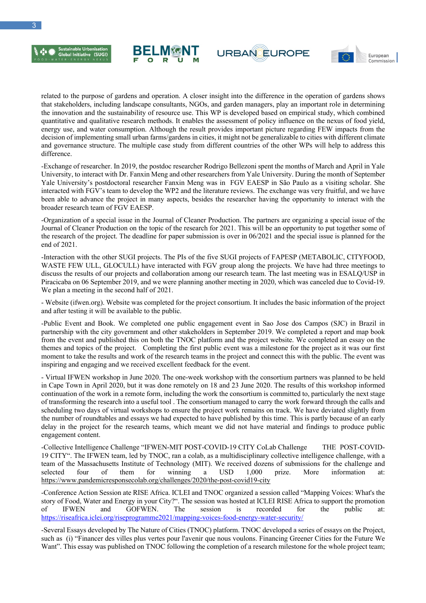







related to the purpose of gardens and operation. A closer insight into the difference in the operation of gardens shows that stakeholders, including landscape consultants, NGOs, and garden managers, play an important role in determining the innovation and the sustainability of resource use. This WP is developed based on empirical study, which combined quantitative and qualitative research methods. It enables the assessment of policy influence on the nexus of food yield, energy use, and water consumption. Although the result provides important picture regarding FEW impacts from the decision of implementing small urban farms/gardens in cities, it might not be generalizable to cities with different climate and governance structure. The multiple case study from different countries of the other WPs will help to address this difference.

-Exchange of researcher. In 2019, the postdoc researcher Rodrigo Bellezoni spent the months of March and April in Yale University, to interact with Dr. Fanxin Meng and other researchers from Yale University. During the month of September Yale University's postdoctoral researcher Fanxin Meng was in FGV EAESP in São Paulo as a visiting scholar. She interacted with FGV's team to develop the WP2 and the literature reviews. The exchange was very fruitful, and we have been able to advance the project in many aspects, besides the researcher having the opportunity to interact with the broader research team of FGV EAESP.

-Organization of a special issue in the Journal of Cleaner Production. The partners are organizing a special issue of the Journal of Cleaner Production on the topic of the research for 2021. This will be an opportunity to put together some of the research of the project. The deadline for paper submission is over in 06/2021 and the special issue is planned for the end of 2021.

-Interaction with the other SUGI projects. The PIs of the five SUGI projects of FAPESP (METABOLIC, CITYFOOD, WASTE FEW ULL, GLOCULL) have interacted with FGV group along the projects. We have had three meetings to discuss the results of our projects and collaboration among our research team. The last meeting was in ESALQ/USP in Piracicaba on 06 September 2019, and we were planning another meeting in 2020, which was canceled due to Covid-19. We plan a meeting in the second half of 2021.

- Website (ifwen.org). Website was completed for the project consortium. It includes the basic information of the project and after testing it will be available to the public.

-Public Event and Book. We completed one public engagement event in Sao Jose dos Campos (SJC) in Brazil in partnership with the city government and other stakeholders in September 2019. We completed a report and map book from the event and published this on both the TNOC platform and the project website. We completed an essay on the themes and topics of the project. Completing the first public event was a milestone for the project as it was our first moment to take the results and work of the research teams in the project and connect this with the public. The event was inspiring and engaging and we received excellent feedback for the event.

- Virtual IFWEN workshop in June 2020. The one-week workshop with the consortium partners was planned to be held in Cape Town in April 2020, but it was done remotely on 18 and 23 June 2020. The results of this workshop informed continuation of the work in a remote form, including the work the consortium is committed to, particularly the next stage of transforming the research into a useful tool . The consortium managed to carry the work forward through the calls and scheduling two days of virtual workshops to ensure the project work remains on track. We have deviated slightly from the number of roundtables and essays we had expected to have published by this time. This is partly because of an early delay in the project for the research teams, which meant we did not have material and findings to produce public engagement content.

-Collective Intelligence Challenge "IFWEN-MIT POST-COVID-19 CITY CoLab Challenge THE POST-COVID-19 CITY". The IFWEN team, led by TNOC, ran a colab, as a multidisciplinary collective intelligence challenge, with a team of the Massachusetts Institute of Technology (MIT). We received dozens of submissions for the challenge and selected four of them for winning a USD 1,000 prize. More information at: https://www.pandemicresponsecolab.org/challenges/2020/the-post-covid19-city

-Conference Action Session ate RISE Africa. ICLEI and TNOC organized a session called "Mapping Voices: What's the story of Food, Water and Energy in your City?". The session was hosted at ICLEI RISE Africa to support the promotion of IFWEN and GOFWEN. The session is recorded for the public at: https://riseafrica.iclei.org/riseprogramme2021/mapping-voices-food-energy-water-security/

-Several Essays developed by The Nature of Cities (TNOC) platform. TNOC developed a series of essays on the Project, such as (i) "Financer des villes plus vertes pour l'avenir que nous voulons. Financing Greener Cities for the Future We Want". This essay was published on TNOC following the completion of a research milestone for the whole project team;